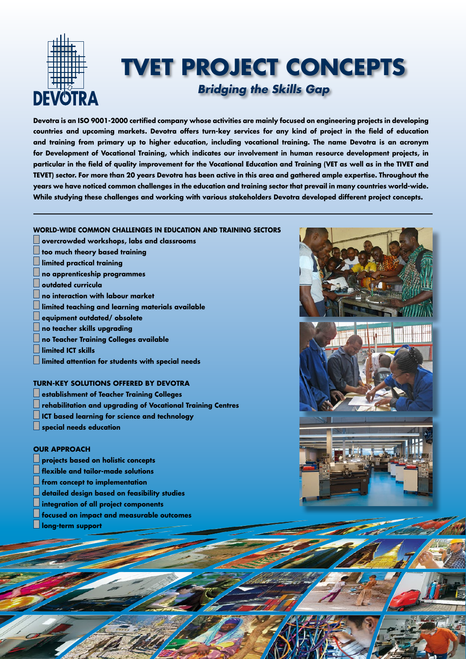

## **TVET PROJECT CONCEPTS** *Bridging the Skills Gap*

**Devotra is an ISO 9001-2000 certified company whose activities are mainly focused on engineering projects in developing countries and upcoming markets. Devotra offers turn-key services for any kind of project in the field of education and training from primary up to higher education, including vocational training. The name Devotra is an acronym for Development of Vocational Training, which indicates our involvement in human resource development projects, in particular in the field of quality improvement for the Vocational Education and Training (VET as well as in the TIVET and TEVET) sector. For more than 20 years Devotra has been active in this area and gathered ample expertise. Throughout the years we have noticed common challenges in the education and training sector that prevail in many countries world-wide. While studying these challenges and working with various stakeholders Devotra developed different project concepts.**

### **WORLD-WIDE COMMON CHALLENGES IN EDUCATION AND TRAINING SECTORS**

- **overcrowded workshops, labs and classrooms**
- **too much theory based training**
- **limited practical training**
- **no apprenticeship programmes**
- **outdated curricula**
- **no interaction with labour market**
- **limited teaching and learning materials available**
- **equipment outdated/ obsolete**
- **no teacher skills upgrading**
- **no Teacher Training Colleges available**
- **limited ICT skills**
- **limited attention for students with special needs**

### **TURN-KEY SOLUTIONS OFFERED BY DEVOTRA**

- **establishment of Teacher Training Colleges**
- **rehabilitation and upgrading of Vocational Training Centres**
- **ICT based learning for science and technology**
- **special needs education**

### **OUR APPROACH**

- **projects based on holistic concepts**
- **flexible and tailor-made solutions**
- **from concept to implementation**
- **detailed design based on feasibility studies**
- **integration of all project components**
- **focused on impact and measurable outcomes**
- **long-term support**

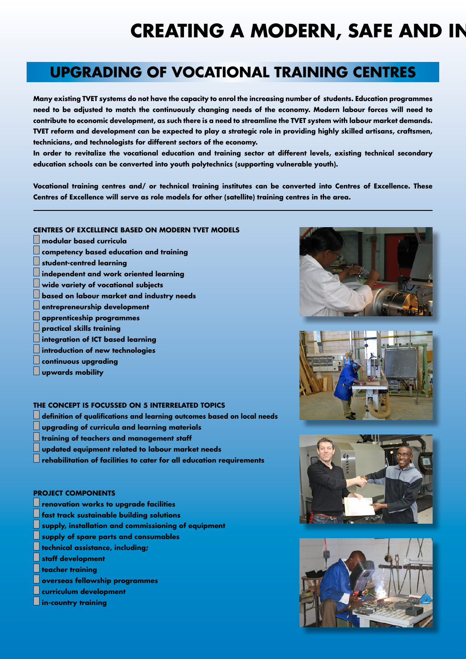# **CREATING A MODERN, SAFE AND IN**

## **UPGRADING OF VOCATIONAL TRAINING CENTRES**

**Many existing TVET systems do not have the capacity to enrol the increasing number of students. Education programmes need to be adjusted to match the continuously changing needs of the economy. Modern labour forces will need to contribute to economic development, as such there is a need to streamline the TVET system with labour market demands. TVET reform and development can be expected to play a strategic role in providing highly skilled artisans, craftsmen, technicians, and technologists for different sectors of the economy.**

**In order to revitalize the vocational education and training sector at different levels, existing technical secondary education schools can be converted into youth polytechnics (supporting vulnerable youth).**

**Vocational training centres and/ or technical training institutes can be converted into Centres of Excellence. These Centres of Excellence will serve as role models for other (satellite) training centres in the area.**

### **CENTRES OF EXCELLENCE BASED ON MODERN TVET MODELS**

- **modular based curricula competency based education and training student-centred learning independent and work oriented learning wide variety of vocational subjects based on labour market and industry needs entrepreneurship development apprenticeship programmes**
- **practical skills training**
- **integration of ICT based learning**
- **introduction of new technologies**
- **continuous upgrading**
- **upwards mobility**

### **THE CONCEPT IS FOCUSSED ON 5 INTERRELATED TOPICS**

- **definition of qualifications and learning outcomes based on local needs**
- **upgrading of curricula and learning materials**
- **training of teachers and management staff**
- **updated equipment related to labour market needs**
- **rehabilitation of facilities to cater for all education requirements**

### **PROJECT COMPONENTS**

- **renovation works to upgrade facilities**
- **fast track sustainable building solutions**
- **supply, installation and commissioning of equipment**
- **supply of spare parts and consumables**
- **technical assistance, including;**
- **staff development**
- **teacher training**
- **overseas fellowship programmes**
- **curriculum development**
- **in-country training**







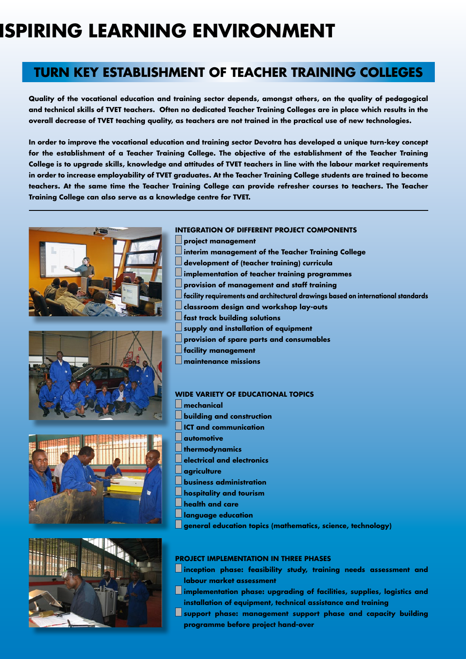# **ISPIRING LEARNING ENVIRONMENT**

### **TURN KEY ESTABLISHMENT OF TEACHER TRAINING COLLEGES**

**Quality of the vocational education and training sector depends, amongst others, on the quality of pedagogical and technical skills of TVET teachers. Often no dedicated Teacher Training Colleges are in place which results in the overall decrease of TVET teaching quality, as teachers are not trained in the practical use of new technologies.**

**In order to improve the vocational education and training sector Devotra has developed a unique turn-key concept for the establishment of a Teacher Training College. The objective of the establishment of the Teacher Training College is to upgrade skills, knowledge and attitudes of TVET teachers in line with the labour market requirements in order to increase employability of TVET graduates. At the Teacher Training College students are trained to become teachers. At the same time the Teacher Training College can provide refresher courses to teachers. The Teacher Training College can also serve as a knowledge centre for TVET.**









### **INTEGRATION OF DIFFERENT PROJECT COMPONENTS**

**project management interim management of the Teacher Training College development of (teacher training) curricula implementation of teacher training programmes provision of management and staff training facility requirements and architectural drawings based on international standards classroom design and workshop lay-outs fast track building solutions supply and installation of equipment provision of spare parts and consumables facility management maintenance missions**

#### **WIDE VARIETY OF EDUCATIONAL TOPICS**

**mechanical building and construction ICT and communication automotive thermodynamics electrical and electronics agriculture business administration hospitality and tourism health and care language education general education topics (mathematics, science, technology)**

#### **PROJECT IMPLEMENTATION IN THREE PHASES**

- **inception phase: feasibility study, training needs assessment and labour market assessment**
- **implementation phase: upgrading of facilities, supplies, logistics and installation of equipment, technical assistance and training**
- **support phase: management support phase and capacity building programme before project hand-over**